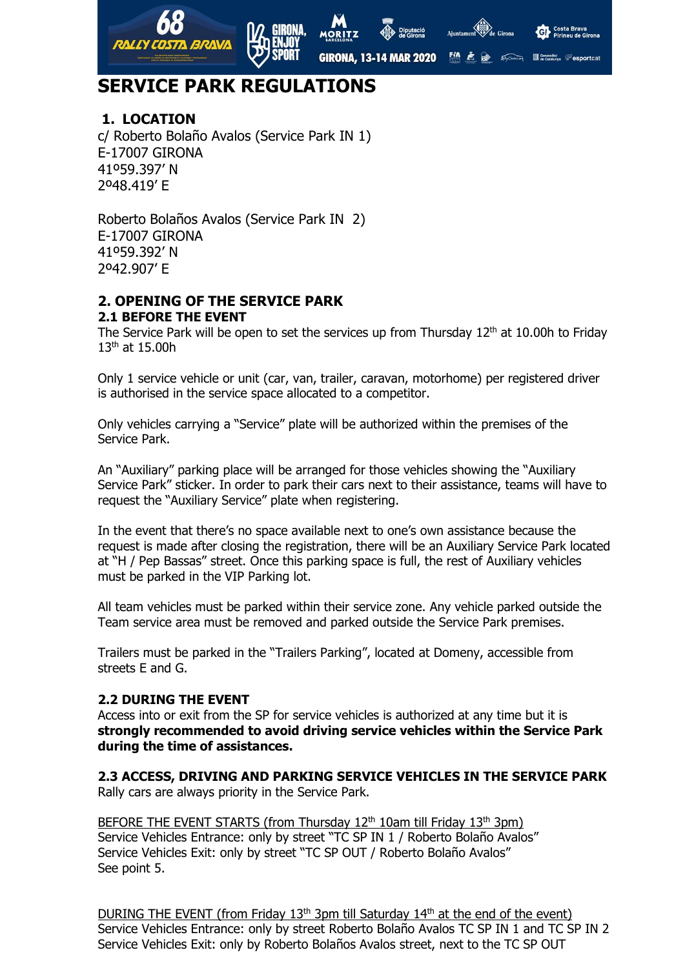

# **SERVICE PARK REGULATIONS**

## **1. LOCATION**

c/ Roberto Bolaño Avalos (Service Park IN 1) E-17007 GIRONA 41º59.397' N 2º48.419' E

Roberto Bolaños Avalos (Service Park IN 2) E-17007 GIRONA 41º59.392' N 2º42.907' E

#### **2. OPENING OF THE SERVICE PARK 2.1 BEFORE THE EVENT**

The Service Park will be open to set the services up from Thursday  $12<sup>th</sup>$  at 10.00h to Friday 13 th at 15.00h

Only 1 service vehicle or unit (car, van, trailer, caravan, motorhome) per registered driver is authorised in the service space allocated to a competitor.

Only vehicles carrying a "Service" plate will be authorized within the premises of the Service Park.

An "Auxiliary" parking place will be arranged for those vehicles showing the "Auxiliary Service Park" sticker. In order to park their cars next to their assistance, teams will have to request the "Auxiliary Service" plate when registering.

In the event that there's no space available next to one's own assistance because the request is made after closing the registration, there will be an Auxiliary Service Park located at "H / Pep Bassas" street. Once this parking space is full, the rest of Auxiliary vehicles must be parked in the VIP Parking lot.

All team vehicles must be parked within their service zone. Any vehicle parked outside the Team service area must be removed and parked outside the Service Park premises.

Trailers must be parked in the "Trailers Parking", located at Domeny, accessible from streets E and G.

#### **2.2 DURING THE EVENT**

Access into or exit from the SP for service vehicles is authorized at any time but it is **strongly recommended to avoid driving service vehicles within the Service Park during the time of assistances.**

**2.3 ACCESS, DRIVING AND PARKING SERVICE VEHICLES IN THE SERVICE PARK** Rally cars are always priority in the Service Park.

BEFORE THE EVENT STARTS (from Thursday 12<sup>th</sup> 10am till Friday 13<sup>th</sup> 3pm) Service Vehicles Entrance: only by street "TC SP IN 1 / Roberto Bolaño Avalos" Service Vehicles Exit: only by street "TC SP OUT / Roberto Bolaño Avalos" See point 5.

DURING THE EVENT (from Friday 13<sup>th</sup> 3pm till Saturday 14<sup>th</sup> at the end of the event) Service Vehicles Entrance: only by street Roberto Bolaño Avalos TC SP IN 1 and TC SP IN 2 Service Vehicles Exit: only by Roberto Bolaños Avalos street, next to the TC SP OUT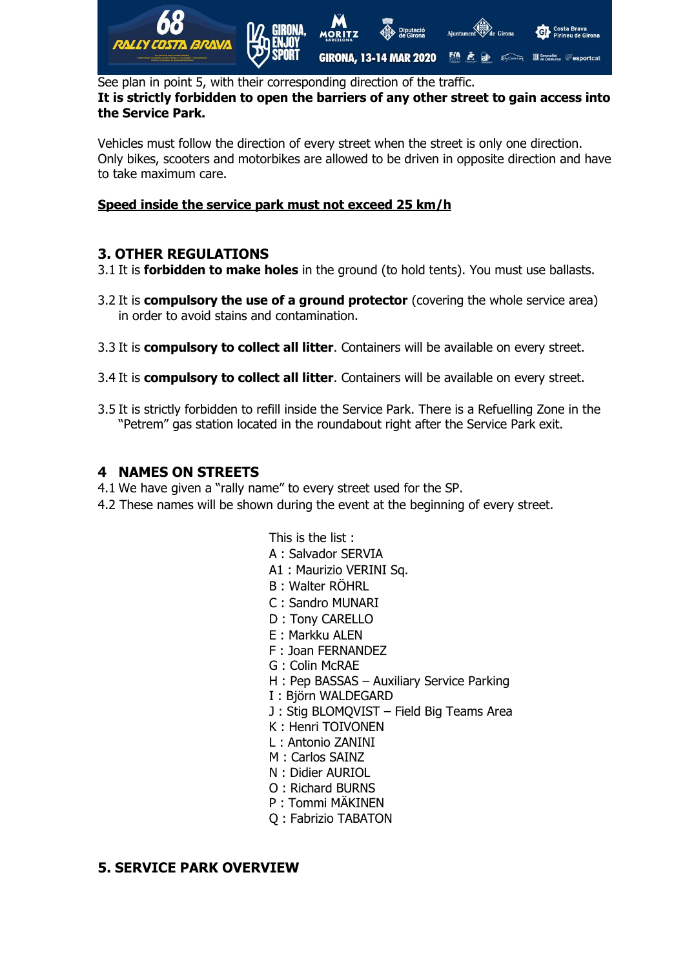

See plan in point 5, with their corresponding direction of the traffic. **It is strictly forbidden to open the barriers of any other street to gain access into the Service Park.**

Vehicles must follow the direction of every street when the street is only one direction. Only bikes, scooters and motorbikes are allowed to be driven in opposite direction and have to take maximum care.

#### **Speed inside the service park must not exceed 25 km/h**

### **3. OTHER REGULATIONS**

3.1 It is **forbidden to make holes** in the ground (to hold tents). You must use ballasts.

- 3.2 It is **compulsory the use of a ground protector** (covering the whole service area) in order to avoid stains and contamination.
- 3.3 It is **compulsory to collect all litter**. Containers will be available on every street.
- 3.4 It is **compulsory to collect all litter**. Containers will be available on every street.
- 3.5 It is strictly forbidden to refill inside the Service Park. There is a Refuelling Zone in the "Petrem" gas station located in the roundabout right after the Service Park exit.

#### **4 NAMES ON STREETS**

- 4.1 We have given a "rally name" to every street used for the SP.
- 4.2 These names will be shown during the event at the beginning of every street.

This is the list :

- A : Salvador SERVIA
- A1 : Maurizio VERINI Sq.
- B : Walter RÖHRL
- C : Sandro MUNARI
- D : Tony CARELLO
- E : Markku ALEN
- F : Joan FERNANDEZ
- G : Colin McRAE
- H : Pep BASSAS Auxiliary Service Parking
- I : Björn WALDEGARD
- J : Stig BLOMQVIST Field Big Teams Area
- K : Henri TOIVONEN
- L : Antonio ZANINI
- M : Carlos SAINZ
- N : Didier AURIOL
- O : Richard BURNS
- P : Tommi MÄKINEN
- Q : Fabrizio TABATON

#### **5. SERVICE PARK OVERVIEW**